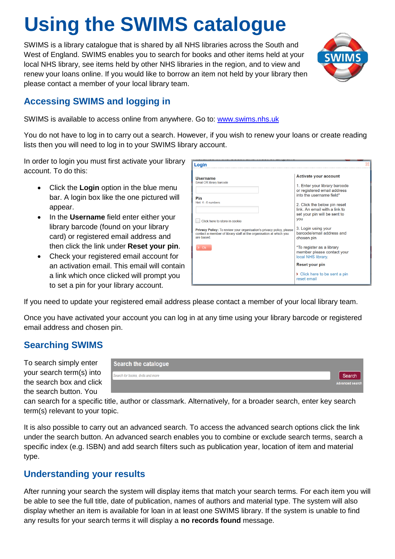# **Using the SWIMS catalogue**

SWIMS is a library catalogue that is shared by all NHS libraries across the South and West of England. SWIMS enables you to search for books and other items held at your local NHS library, see items held by other NHS libraries in the region, and to view and renew your loans online. If you would like to borrow an item not held by your library then please contact a member of your local library team.



# **Accessing SWIMS and logging in**

SWIMS is available to access online from anywhere. Go to: [www.swims.nhs.uk](http://www.swims.nhs.uk/)

You do not have to log in to carry out a search. However, if you wish to renew your loans or create reading lists then you will need to log in to your SWIMS library account.

In order to login you must first activate your library account. To do this:

- Click the **Login** option in the blue menu bar. A login box like the one pictured will appear.
- In the **Username** field enter either your library barcode (found on your library card) or registered email address and then click the link under **Reset your pin**.
- Check your registered email account for an activation email. This email will contain a link which once clicked will prompt you to set a pin for your library account.

| Login                                                                                                                                                          |                                                                                                      |
|----------------------------------------------------------------------------------------------------------------------------------------------------------------|------------------------------------------------------------------------------------------------------|
| <b>Username</b><br>Email OR library barcode                                                                                                                    | <b>Activate your account</b><br>1. Enter your library barcode                                        |
| Pin                                                                                                                                                            | or registered email address<br>into the username field*                                              |
| Hint: 4 - 6 numbers<br>Click here to store in cookie                                                                                                           | 2. Click the below pin reset<br>link. An email with a link to<br>set your pin will be sent to<br>you |
| <b>Privacy Policy:</b> To review your organisation's privacy policy, please<br>contact a member of library staff at the organisation at which you<br>are hased | 3. Login using your<br>barcode/email address and<br>chosen pin                                       |
| Ok                                                                                                                                                             | *To register as a library<br>member please contact your<br>local NHS library.                        |
|                                                                                                                                                                | <b>Reset your pin</b>                                                                                |
|                                                                                                                                                                | Click here to be sent a pin<br>reset email                                                           |

If you need to update your registered email address please contact a member of your local library team.

Once you have activated your account you can log in at any time using your library barcode or registered email address and chosen pin.

#### **Searching SWIMS**

To search simply enter your search term(s) into the search box and click the search button. You

| <b>Search the catalogue</b>     |                        |
|---------------------------------|------------------------|
| Search for books, dvds and more |                        |
|                                 | <b>Advanced search</b> |

can search for a specific title, author or classmark. Alternatively, for a broader search, enter key search term(s) relevant to your topic.

It is also possible to carry out an advanced search. To access the advanced search options click the link under the search button. An advanced search enables you to combine or exclude search terms, search a specific index (e.g. ISBN) and add search filters such as publication year, location of item and material type.

#### **Understanding your results**

After running your search the system will display items that match your search terms. For each item you will be able to see the full title, date of publication, names of authors and material type. The system will also display whether an item is available for loan in at least one SWIMS library. If the system is unable to find any results for your search terms it will display a **no records found** message.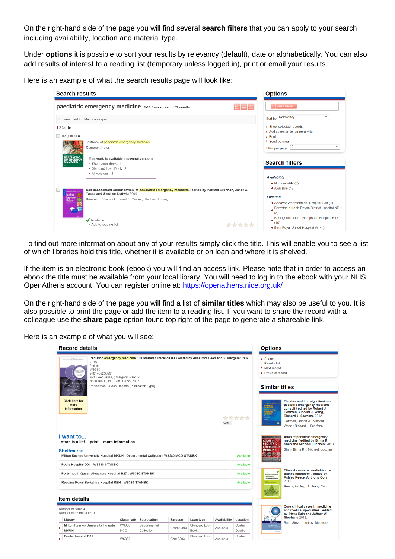On the right-hand side of the page you will find several **search filters** that you can apply to your search including availability, location and material type.

Under **options** it is possible to sort your results by relevancy (default), date or alphabetically. You can also add results of interest to a reading list (temporary unless logged in), print or email your results.

Here is an example of what the search results page will look like:

| <b>Search results</b>                                                                                                                                     | <b>Options</b>                                                                                             |
|-----------------------------------------------------------------------------------------------------------------------------------------------------------|------------------------------------------------------------------------------------------------------------|
| paediatric emergency medicine : 1-10 from a total of 39 results<br>语出信                                                                                    | Search screen                                                                                              |
| You searched in : Main catalogue<br>$1234 \triangleright$                                                                                                 | Sort by: Relevancy<br>> Show selected records                                                              |
| (De)select all<br>Textbook of paediatric emergency medicine<br>Cameron, Peter                                                                             | > Add selection to temporary list<br>$\triangleright$ Print<br>> Send by email<br>Titles per page: 10<br>۰ |
| PAEDIATRIC<br>EMERGENCY<br>MEDICINE<br>This work is available in several versions<br>> Short Loan Book: 1<br>Standard Loan Book : 2<br>> All versions : 3 | <b>Search filters</b>                                                                                      |
| Self-assessment colour review of paediatric emergency medicine / edited by Patricia Brennan, Janet G.<br>Yassa and Stephen Ludwig 2000.<br>Paediatric     | <b>Availability</b><br>• Not available (3)<br>• Available (42)                                             |
| Emergency<br>Brennan, Patricia O.; Janet G. Yassa; Stephen. Ludwig<br><b>Medicine</b>                                                                     | Location<br>. Andover War Memorial Hospital H38 (4)<br>Barnstaple North Devon District Hospital NDH<br>(8) |
| $\blacktriangleright$ Available<br>> Add to reading list                                                                                                  | Basingstoke North Hampshire Hospital H18<br>(10)<br>• Bath Royal United Hospital W14 (1)                   |

To find out more information about any of your results simply click the title. This will enable you to see a list of which libraries hold this title, whether it is available or on loan and where it is shelved.

If the item is an electronic book (ebook) you will find an access link. Please note that in order to access an ebook the title must be available from your local library. You will need to log in to the ebook with your NHS OpenAthens account. You can register online at:<https://openathens.nice.org.uk/>

On the right-hand side of the page you will find a list of **similar titles** which may also be useful to you. It is also possible to print the page or add the item to a reading list. If you want to share the record with a colleague use the **share page** option found top right of the page to generate a shareable link.

Here is an example of what you will see:

| <b>Record details</b>                                                                                                                                                                                                                                                                                                                                                                                                    |                            |                            |           |                       |              |                        | <b>Options</b>                                                                            |                                                                                                                                                                                                                                  |
|--------------------------------------------------------------------------------------------------------------------------------------------------------------------------------------------------------------------------------------------------------------------------------------------------------------------------------------------------------------------------------------------------------------------------|----------------------------|----------------------------|-----------|-----------------------|--------------|------------------------|-------------------------------------------------------------------------------------------|----------------------------------------------------------------------------------------------------------------------------------------------------------------------------------------------------------------------------------|
| Pediatric emergency medicine: illustrated clinical cases / edited by Alisa McQueen and S. Margaret Paik<br>ALISA MUQUEEN . 5. MARGARET PAIN<br>2018.<br>2nd ed<br><b>WS380</b><br><b>LISTRATE</b><br>CUNICAL.<br>9781482230291<br>CASES<br>McQueen, Alisa, ; Margaret Paik, S.<br>Boca Raton, FL: CRC Press, 2018.<br>Pediatric Emergency<br>Paediatrics.; Case Reports [Publication Type]<br>Medicine<br>iecond edition |                            |                            |           |                       |              |                        | > Search<br>> Results list<br>> Next record<br>> Previous record<br><b>Similar titles</b> |                                                                                                                                                                                                                                  |
| <b>Click here for</b><br>more<br><i>information</i>                                                                                                                                                                                                                                                                                                                                                                      |                            |                            |           |                       | Vote         | *****                  | $\bullet$                                                                                 | <b>Fleisher and Ludwig's 5-minute</b><br>pediatric emergency medicine<br>consult / edited by Robert J.<br>Hoffman, Vincent J. Wang,<br>Richard J. Scarfone 2012.<br>Hoffman, Robert J.; Vincent J.<br>Wang ; Richard J. Scarfone |
| I want to<br>store in a list   print   more information<br><b>Shelfmarks</b><br>Milton Keynes University Hospital MKUH : Departmental Collection WS380 MCQ STANBK                                                                                                                                                                                                                                                        |                            |                            |           |                       |              | Available              | <b>ATLAS OF</b><br><b>PEDIATRIC</b><br><b>EMERGENCY</b><br><b>MEDICINE</b>                | Atlas of pediatric emergency<br>medicine / edited by Binita R.<br>Shah and Michael Lucchesi 2013.<br>Shah, Binita R.; Michael. Lucchesi                                                                                          |
| Poole Hospital D01 : WS380 STANBK<br>Portsmouth Queen Alexandra Hospital H27 : WS380 STANBK                                                                                                                                                                                                                                                                                                                              |                            |                            |           |                       |              | Available<br>Available | Clinical Cases in                                                                         | Clinical cases in paediatrics : a<br>trainee handbook / edited by                                                                                                                                                                |
| Reading Royal Berkshire Hospital RBH : WS380 STANBK                                                                                                                                                                                                                                                                                                                                                                      |                            |                            |           |                       |              | Available              | <b>Donationtrings</b><br>A Trainee Handbook                                               | <b>Ashley Reece, Anthony Cohn</b><br>2014.<br>Reece, Ashley, ; Anthony. Cohn                                                                                                                                                     |
| Item details                                                                                                                                                                                                                                                                                                                                                                                                             |                            |                            |           |                       |              |                        |                                                                                           |                                                                                                                                                                                                                                  |
| Number of items 4<br>Number of reservations 0                                                                                                                                                                                                                                                                                                                                                                            |                            |                            |           |                       |              |                        | Core                                                                                      | Core clinical cases in medicine<br>and medical specialties / edited<br>by Steve Bain and Jeffrey W.                                                                                                                              |
| Library                                                                                                                                                                                                                                                                                                                                                                                                                  | Classmark                  | Sublocation                | Barcode   | Loan type             | Availability | Location               | Clinical<br>Cases                                                                         | Stephens 2012.                                                                                                                                                                                                                   |
| Milton Keynes University Hospital<br><b>MKUH</b>                                                                                                                                                                                                                                                                                                                                                                         | <b>WS380</b><br><b>MCQ</b> | Departmental<br>Collection | C20490300 | Standard Loan<br>Book | Available    | Contact<br>Details     |                                                                                           | Bain, Steve, ; Jeffrey. Stephens                                                                                                                                                                                                 |
| Poole Hospital D01                                                                                                                                                                                                                                                                                                                                                                                                       | <b>WS380</b>               |                            | P2019203  | Standard Loan         | Available    | Contact<br>$\sim$      |                                                                                           |                                                                                                                                                                                                                                  |